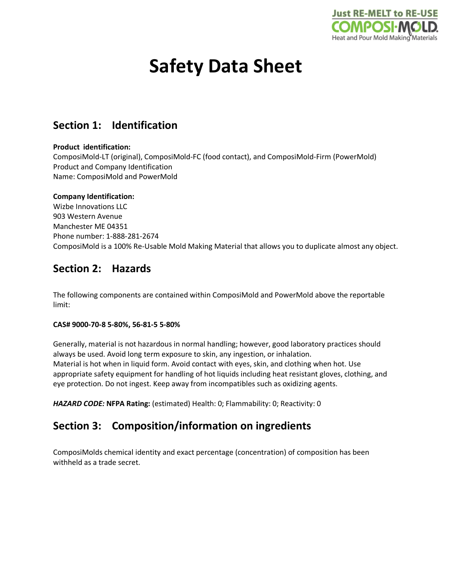

# **Safety Data Sheet**

# **Section 1: Identification**

#### **Product identification:**

ComposiMold-LT (original), ComposiMold-FC (food contact), and ComposiMold-Firm (PowerMold) Product and Company Identification Name: ComposiMold and PowerMold

#### **Company Identification:**

Wizbe Innovations LLC 903 Western Avenue Manchester ME 04351 Phone number: 1-888-281-2674 ComposiMold is a 100% Re-Usable Mold Making Material that allows you to duplicate almost any object.

# **Section 2: Hazards**

The following components are contained within ComposiMold and PowerMold above the reportable limit:

#### **CAS# 9000-70-8 5-80%, 56-81-5 5-80%**

Generally, material is not hazardous in normal handling; however, good laboratory practices should always be used. Avoid long term exposure to skin, any ingestion, or inhalation. Material is hot when in liquid form. Avoid contact with eyes, skin, and clothing when hot. Use appropriate safety equipment for handling of hot liquids including heat resistant gloves, clothing, and eye protection. Do not ingest. Keep away from incompatibles such as oxidizing agents.

*HAZARD CODE:* **NFPA Rating:** (estimated) Health: 0; Flammability: 0; Reactivity: 0

# **Section 3: Composition/information on ingredients**

ComposiMolds chemical identity and exact percentage (concentration) of composition has been withheld as a trade secret.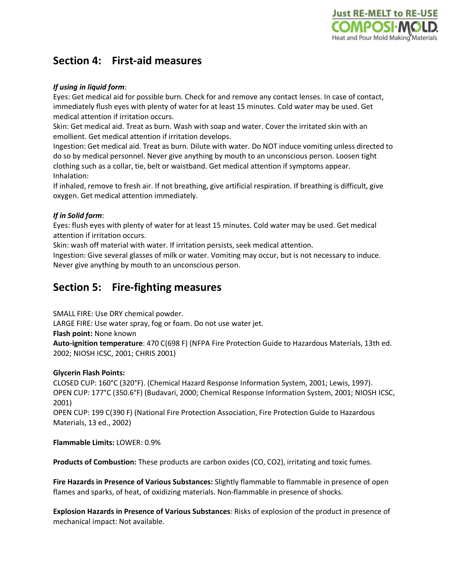

# **Section 4: First-aid measures**

#### *If using in liquid form*:

Eyes: Get medical aid for possible burn. Check for and remove any contact lenses. In case of contact, immediately flush eyes with plenty of water for at least 15 minutes. Cold water may be used. Get medical attention if irritation occurs.

Skin: Get medical aid. Treat as burn. Wash with soap and water. Cover the irritated skin with an emollient. Get medical attention if irritation develops.

Ingestion: Get medical aid. Treat as burn. Dilute with water. Do NOT induce vomiting unless directed to do so by medical personnel. Never give anything by mouth to an unconscious person. Loosen tight clothing such as a collar, tie, belt or waistband. Get medical attention if symptoms appear. Inhalation:

If inhaled, remove to fresh air. If not breathing, give artificial respiration. If breathing is difficult, give oxygen. Get medical attention immediately.

#### *If in Solid form*:

Eyes: flush eyes with plenty of water for at least 15 minutes. Cold water may be used. Get medical attention if irritation occurs.

Skin: wash off material with water. If irritation persists, seek medical attention.

Ingestion: Give several glasses of milk or water. Vomiting may occur, but is not necessary to induce. Never give anything by mouth to an unconscious person.

### **Section 5: Fire-fighting measures**

SMALL FIRE: Use DRY chemical powder.

LARGE FIRE: Use water spray, fog or foam. Do not use water jet.

**Flash point:** None known

**Auto-ignition temperature**: 470 C(698 F) (NFPA Fire Protection Guide to Hazardous Materials, 13th ed. 2002; NIOSH ICSC, 2001; CHRIS 2001)

#### **Glycerin Flash Points:**

CLOSED CUP: 160°C (320°F). (Chemical Hazard Response Information System, 2001; Lewis, 1997). OPEN CUP: 177°C (350.6°F) (Budavari, 2000; Chemical Response Information System, 2001; NIOSH ICSC, 2001)

OPEN CUP: 199 C(390 F) (National Fire Protection Association, Fire Protection Guide to Hazardous Materials, 13 ed., 2002)

**Flammable Limits:** LOWER: 0.9%

**Products of Combustion:** These products are carbon oxides (CO, CO2), irritating and toxic fumes.

**Fire Hazards in Presence of Various Substances:** Slightly flammable to flammable in presence of open flames and sparks, of heat, of oxidizing materials. Non-flammable in presence of shocks.

**Explosion Hazards in Presence of Various Substances**: Risks of explosion of the product in presence of mechanical impact: Not available.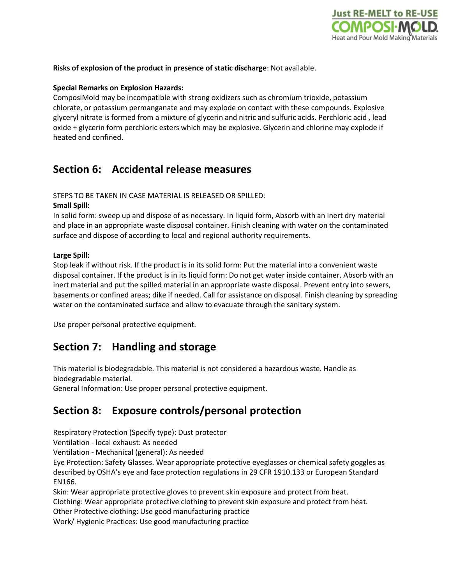

#### **Risks of explosion of the product in presence of static discharge**: Not available.

#### **Special Remarks on Explosion Hazards:**

ComposiMold may be incompatible with strong oxidizers such as chromium trioxide, potassium chlorate, or potassium permanganate and may explode on contact with these compounds. Explosive glyceryl nitrate is formed from a mixture of glycerin and nitric and sulfuric acids. Perchloric acid , lead oxide + glycerin form perchloric esters which may be explosive. Glycerin and chlorine may explode if heated and confined.

### **Section 6: Accidental release measures**

STEPS TO BE TAKEN IN CASE MATERIAL IS RELEASED OR SPILLED:

#### **Small Spill:**

In solid form: sweep up and dispose of as necessary. In liquid form, Absorb with an inert dry material and place in an appropriate waste disposal container. Finish cleaning with water on the contaminated surface and dispose of according to local and regional authority requirements.

#### **Large Spill:**

Stop leak if without risk. If the product is in its solid form: Put the material into a convenient waste disposal container. If the product is in its liquid form: Do not get water inside container. Absorb with an inert material and put the spilled material in an appropriate waste disposal. Prevent entry into sewers, basements or confined areas; dike if needed. Call for assistance on disposal. Finish cleaning by spreading water on the contaminated surface and allow to evacuate through the sanitary system.

Use proper personal protective equipment.

### **Section 7: Handling and storage**

This material is biodegradable. This material is not considered a hazardous waste. Handle as biodegradable material.

General Information: Use proper personal protective equipment.

# **Section 8: Exposure controls/personal protection**

Respiratory Protection (Specify type): Dust protector

Ventilation - local exhaust: As needed

Ventilation - Mechanical (general): As needed

Eye Protection: Safety Glasses. Wear appropriate protective eyeglasses or chemical safety goggles as described by OSHA's eye and face protection regulations in 29 CFR 1910.133 or European Standard EN166.

Skin: Wear appropriate protective gloves to prevent skin exposure and protect from heat.

Clothing: Wear appropriate protective clothing to prevent skin exposure and protect from heat.

Other Protective clothing: Use good manufacturing practice

Work/ Hygienic Practices: Use good manufacturing practice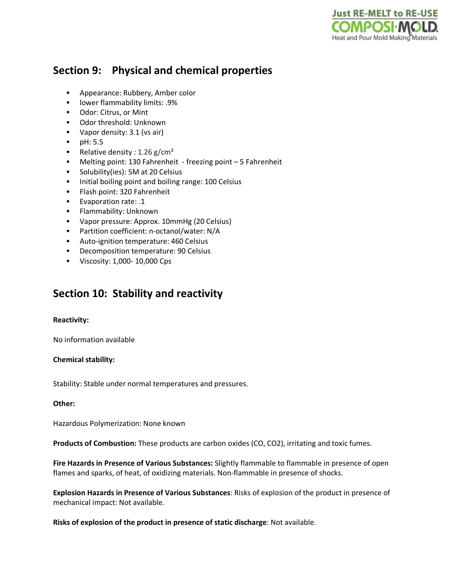

# **Section 9: Physical and chemical properties**

- **Appearance: Rubbery, Amber color**
- **-** lower flammability limits: .9%
- **Odor: Citrus, or Mint**
- Odor threshold: Unknown
- Vapor density: 3.1 (vs air)
- $pH: 5.5$
- Relative density : 1.26 g/cm<sup>3</sup>
- Melting point: 130 Fahrenheit freezing point 5 Fahrenheit
- **Solubility(ies): 5M at 20 Celsius**
- Initial boiling point and boiling range: 100 Celsius
- Flash point: 320 Fahrenheit
- **Evaporation rate: .1**
- **Flammability: Unknown**
- Vapor pressure: Approx. 10mmHg (20 Celsius)
- Partition coefficient: n-octanol/water: N/A
- **Auto-ignition temperature: 460 Celsius**
- **•** Decomposition temperature: 90 Celsius
- **Viscosity: 1,000-10,000 Cps**

### **Section 10: Stability and reactivity**

#### **Reactivity:**

No information available

#### **Chemical stability:**

Stability: Stable under normal temperatures and pressures.

#### **Other:**

Hazardous Polymerization: None known

**Products of Combustion:** These products are carbon oxides (CO, CO2), irritating and toxic fumes.

**Fire Hazards in Presence of Various Substances:** Slightly flammable to flammable in presence of open flames and sparks, of heat, of oxidizing materials. Non-flammable in presence of shocks.

**Explosion Hazards in Presence of Various Substances**: Risks of explosion of the product in presence of mechanical impact: Not available.

**Risks of explosion of the product in presence of static discharge**: Not available.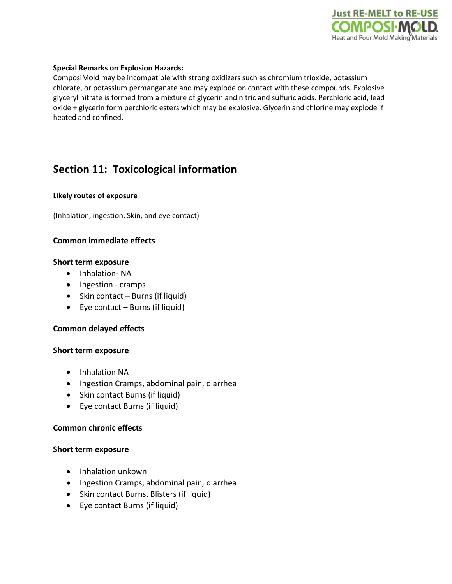

#### **Special Remarks on Explosion Hazards:**

ComposiMold may be incompatible with strong oxidizers such as chromium trioxide, potassium chlorate, or potassium permanganate and may explode on contact with these compounds. Explosive glyceryl nitrate is formed from a mixture of glycerin and nitric and sulfuric acids. Perchloric acid, lead oxide + glycerin form perchloric esters which may be explosive. Glycerin and chlorine may explode if heated and confined.

# **Section 11: Toxicological information**

#### **Likely routes of exposure**

(Inhalation, ingestion, Skin, and eye contact)

#### **Common immediate effects**

#### **Short term exposure**

- Inhalation- NA
- Ingestion cramps
- Skin contact Burns (if liquid)
- Eye contact Burns (if liquid)

#### **Common delayed effects**

#### **Short term exposure**

- Inhalation NA
- Ingestion Cramps, abdominal pain, diarrhea
- Skin contact Burns (if liquid)
- Eye contact Burns (if liquid)

#### **Common chronic effects**

#### **Short term exposure**

- Inhalation unkown
- Ingestion Cramps, abdominal pain, diarrhea
- Skin contact Burns, Blisters (if liquid)
- Eye contact Burns (if liquid)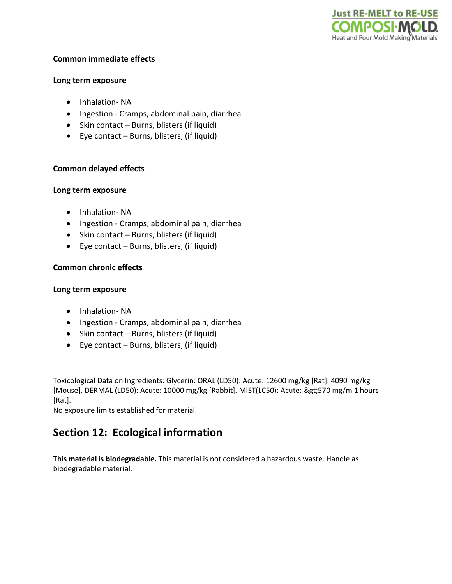

#### **Common immediate effects**

#### **Long term exposure**

- Inhalation- NA
- Ingestion Cramps, abdominal pain, diarrhea
- Skin contact Burns, blisters (if liquid)
- Eye contact Burns, blisters, (if liquid)

#### **Common delayed effects**

#### **Long term exposure**

- Inhalation- NA
- Ingestion Cramps, abdominal pain, diarrhea
- Skin contact Burns, blisters (if liquid)
- Eye contact Burns, blisters, (if liquid)

#### **Common chronic effects**

#### **Long term exposure**

- Inhalation- NA
- Ingestion Cramps, abdominal pain, diarrhea
- Skin contact Burns, blisters (if liquid)
- Eye contact Burns, blisters, (if liquid)

Toxicological Data on Ingredients: Glycerin: ORAL (LD50): Acute: 12600 mg/kg [Rat]. 4090 mg/kg [Mouse]. DERMAL (LD50): Acute: 10000 mg/kg [Rabbit]. MIST(LC50): Acute: >570 mg/m 1 hours [Rat].

No exposure limits established for material.

# **Section 12: Ecological information**

**This material is biodegradable.** This material is not considered a hazardous waste. Handle as biodegradable material.